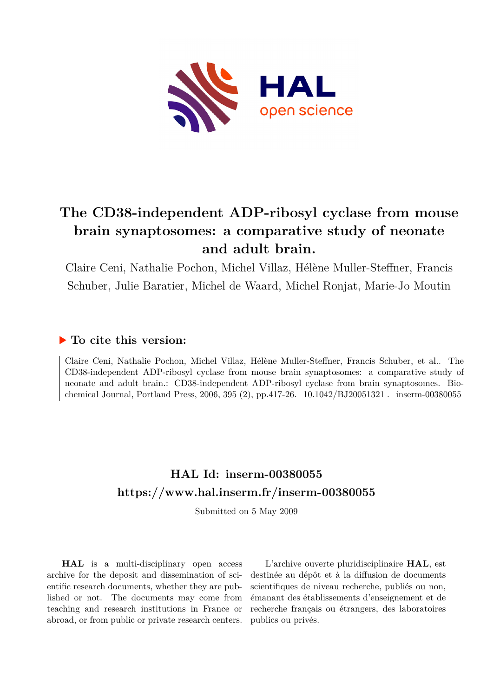

# **The CD38-independent ADP-ribosyl cyclase from mouse brain synaptosomes: a comparative study of neonate and adult brain.**

Claire Ceni, Nathalie Pochon, Michel Villaz, Hélène Muller-Steffner, Francis Schuber, Julie Baratier, Michel de Waard, Michel Ronjat, Marie-Jo Moutin

### **To cite this version:**

Claire Ceni, Nathalie Pochon, Michel Villaz, Hélène Muller-Steffner, Francis Schuber, et al.. The CD38-independent ADP-ribosyl cyclase from mouse brain synaptosomes: a comparative study of neonate and adult brain.: CD38-independent ADP-ribosyl cyclase from brain synaptosomes. Biochemical Journal, Portland Press, 2006, 395 (2), pp.417-26.  $10.1042/BJ20051321$ . inserm-00380055

## **HAL Id: inserm-00380055 <https://www.hal.inserm.fr/inserm-00380055>**

Submitted on 5 May 2009

**HAL** is a multi-disciplinary open access archive for the deposit and dissemination of scientific research documents, whether they are published or not. The documents may come from teaching and research institutions in France or abroad, or from public or private research centers.

L'archive ouverte pluridisciplinaire **HAL**, est destinée au dépôt et à la diffusion de documents scientifiques de niveau recherche, publiés ou non, émanant des établissements d'enseignement et de recherche français ou étrangers, des laboratoires publics ou privés.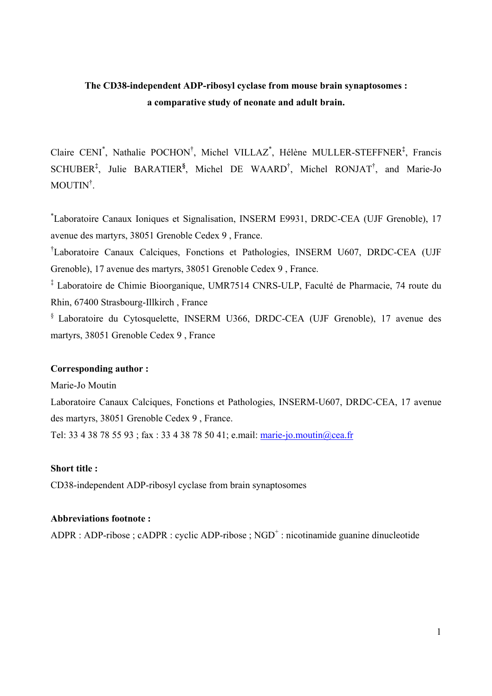### **The CD38-independent ADP-ribosyl cyclase from mouse brain synaptosomes : a comparative study of neonate and adult brain.**

Claire CENI\* , Nathalie POCHON† , Michel VILLAZ\* , Hélène MULLER-STEFFNER**‡** , Francis SCHUBER**‡** , Julie BARATIER**§** , Michel DE WAARD† , Michel RONJAT† , and Marie-Jo MOUTIN† .

\* Laboratoire Canaux Ioniques et Signalisation, INSERM E9931, DRDC-CEA (UJF Grenoble), 17 avenue des martyrs, 38051 Grenoble Cedex 9 , France.

† Laboratoire Canaux Calciques, Fonctions et Pathologies, INSERM U607, DRDC-CEA (UJF Grenoble), 17 avenue des martyrs, 38051 Grenoble Cedex 9 , France.

‡ Laboratoire de Chimie Bioorganique, UMR7514 CNRS-ULP, Faculté de Pharmacie, 74 route du Rhin, 67400 Strasbourg-Illkirch , France

§ Laboratoire du Cytosquelette, INSERM U366, DRDC-CEA (UJF Grenoble), 17 avenue des martyrs, 38051 Grenoble Cedex 9 , France

### **Corresponding author :**

Marie-Jo Moutin

Laboratoire Canaux Calciques, Fonctions et Pathologies, INSERM-U607, DRDC-CEA, 17 avenue des martyrs, 38051 Grenoble Cedex 9 , France.

Tel: 33 4 38 78 55 93 ; fax : 33 4 38 78 50 41; e.mail: marie-jo.moutin@cea.fr

### **Short title :**

CD38-independent ADP-ribosyl cyclase from brain synaptosomes

### **Abbreviations footnote :**

ADPR : ADP-ribose ; cADPR : cyclic ADP-ribose ; NGD<sup>+</sup> : nicotinamide guanine dinucleotide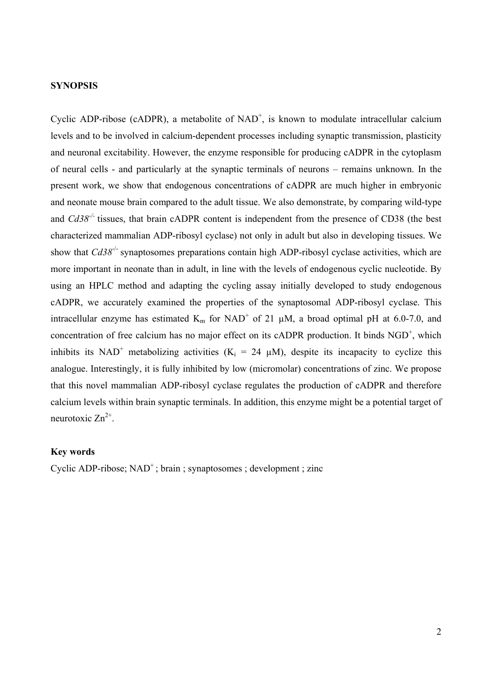### **SYNOPSIS**

Cyclic ADP-ribose (cADPR), a metabolite of  $NAD^+$ , is known to modulate intracellular calcium levels and to be involved in calcium-dependent processes including synaptic transmission, plasticity and neuronal excitability. However, the enzyme responsible for producing cADPR in the cytoplasm of neural cells - and particularly at the synaptic terminals of neurons – remains unknown. In the present work, we show that endogenous concentrations of cADPR are much higher in embryonic and neonate mouse brain compared to the adult tissue. We also demonstrate, by comparing wild-type and *Cd38-/-* tissues, that brain cADPR content is independent from the presence of CD38 (the best characterized mammalian ADP-ribosyl cyclase) not only in adult but also in developing tissues. We show that *Cd38<sup>-/-</sup>* synaptosomes preparations contain high ADP-ribosyl cyclase activities, which are more important in neonate than in adult, in line with the levels of endogenous cyclic nucleotide. By using an HPLC method and adapting the cycling assay initially developed to study endogenous cADPR, we accurately examined the properties of the synaptosomal ADP-ribosyl cyclase. This intracellular enzyme has estimated  $K_m$  for NAD<sup>+</sup> of 21  $\mu$ M, a broad optimal pH at 6.0-7.0, and concentration of free calcium has no major effect on its cADPR production. It binds  $NGD<sup>+</sup>$ , which inhibits its NAD<sup>+</sup> metabolizing activities ( $K_i = 24 \mu M$ ), despite its incapacity to cyclize this analogue. Interestingly, it is fully inhibited by low (micromolar) concentrations of zinc. We propose that this novel mammalian ADP-ribosyl cyclase regulates the production of cADPR and therefore calcium levels within brain synaptic terminals. In addition, this enzyme might be a potential target of neurotoxic  $Zn^{2+}$ .

#### **Key words**

Cyclic ADP-ribose;  $NAD^+$ ; brain ; synaptosomes ; development ; zinc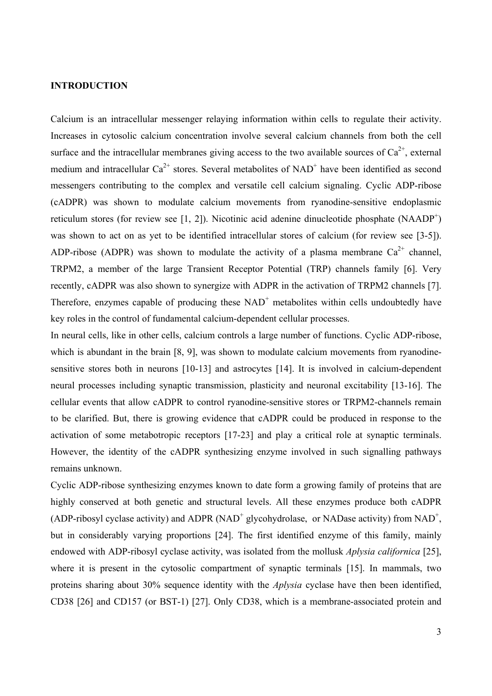#### **INTRODUCTION**

Calcium is an intracellular messenger relaying information within cells to regulate their activity. Increases in cytosolic calcium concentration involve several calcium channels from both the cell surface and the intracellular membranes giving access to the two available sources of  $Ca^{2+}$ , external medium and intracellular  $Ca^{2+}$  stores. Several metabolites of NAD<sup>+</sup> have been identified as second messengers contributing to the complex and versatile cell calcium signaling. Cyclic ADP-ribose (cADPR) was shown to modulate calcium movements from ryanodine-sensitive endoplasmic reticulum stores (for review see [1, 2]). Nicotinic acid adenine dinucleotide phosphate (NAADP<sup>+</sup>) was shown to act on as yet to be identified intracellular stores of calcium (for review see [3-5]). ADP-ribose (ADPR) was shown to modulate the activity of a plasma membrane  $Ca^{2+}$  channel, TRPM2, a member of the large Transient Receptor Potential (TRP) channels family [6]. Very recently, cADPR was also shown to synergize with ADPR in the activation of TRPM2 channels [7]. Therefore, enzymes capable of producing these  $NAD<sup>+</sup>$  metabolites within cells undoubtedly have key roles in the control of fundamental calcium-dependent cellular processes.

In neural cells, like in other cells, calcium controls a large number of functions. Cyclic ADP-ribose, which is abundant in the brain [8, 9], was shown to modulate calcium movements from ryanodinesensitive stores both in neurons [10-13] and astrocytes [14]. It is involved in calcium-dependent neural processes including synaptic transmission, plasticity and neuronal excitability [13-16]. The cellular events that allow cADPR to control ryanodine-sensitive stores or TRPM2-channels remain to be clarified. But, there is growing evidence that cADPR could be produced in response to the activation of some metabotropic receptors [17-23] and play a critical role at synaptic terminals. However, the identity of the cADPR synthesizing enzyme involved in such signalling pathways remains unknown.

Cyclic ADP-ribose synthesizing enzymes known to date form a growing family of proteins that are highly conserved at both genetic and structural levels. All these enzymes produce both cADPR (ADP-ribosyl cyclase activity) and ADPR (NAD<sup>+</sup> glycohydrolase, or NADase activity) from NAD<sup>+</sup>, but in considerably varying proportions [24]. The first identified enzyme of this family, mainly endowed with ADP-ribosyl cyclase activity, was isolated from the mollusk *Aplysia californica* [25], where it is present in the cytosolic compartment of synaptic terminals [15]. In mammals, two proteins sharing about 30% sequence identity with the *Aplysia* cyclase have then been identified, CD38 [26] and CD157 (or BST-1) [27]. Only CD38, which is a membrane-associated protein and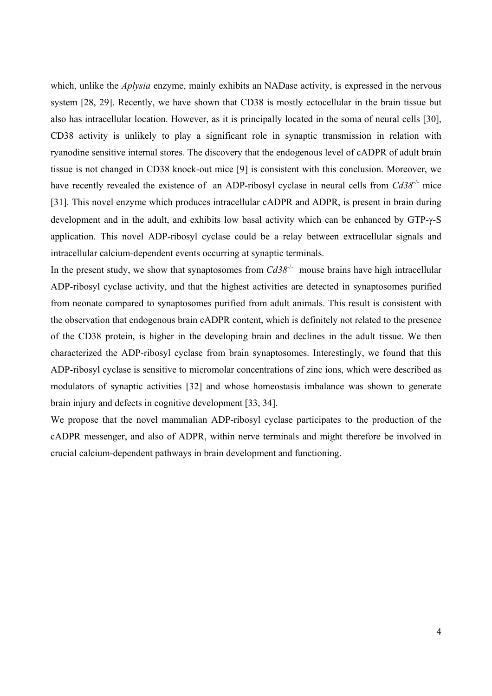which, unlike the *Aplysia* enzyme, mainly exhibits an NADase activity, is expressed in the nervous system [28, 29]. Recently, we have shown that CD38 is mostly ectocellular in the brain tissue but also has intracellular location. However, as it is principally located in the soma of neural cells [30], CD38 activity is unlikely to play a significant role in synaptic transmission in relation with ryanodine sensitive internal stores. The discovery that the endogenous level of cADPR of adult brain tissue is not changed in CD38 knock-out mice [9] is consistent with this conclusion. Moreover, we have recently revealed the existence of an ADP-ribosyl cyclase in neural cells from  $Cd38^{-/-}$  mice [31]. This novel enzyme which produces intracellular cADPR and ADPR, is present in brain during development and in the adult, and exhibits low basal activity which can be enhanced by GTP-γ-S application. This novel ADP-ribosyl cyclase could be a relay between extracellular signals and intracellular calcium-dependent events occurring at synaptic terminals.

In the present study, we show that synaptosomes from  $Cd38^{-/-}$  mouse brains have high intracellular ADP-ribosyl cyclase activity, and that the highest activities are detected in synaptosomes purified from neonate compared to synaptosomes purified from adult animals. This result is consistent with the observation that endogenous brain cADPR content, which is definitely not related to the presence of the CD38 protein, is higher in the developing brain and declines in the adult tissue. We then characterized the ADP-ribosyl cyclase from brain synaptosomes. Interestingly, we found that this ADP-ribosyl cyclase is sensitive to micromolar concentrations of zinc ions, which were described as modulators of synaptic activities [32] and whose homeostasis imbalance was shown to generate brain injury and defects in cognitive development [33, 34].

We propose that the novel mammalian ADP-ribosyl cyclase participates to the production of the cADPR messenger, and also of ADPR, within nerve terminals and might therefore be involved in crucial calcium-dependent pathways in brain development and functioning.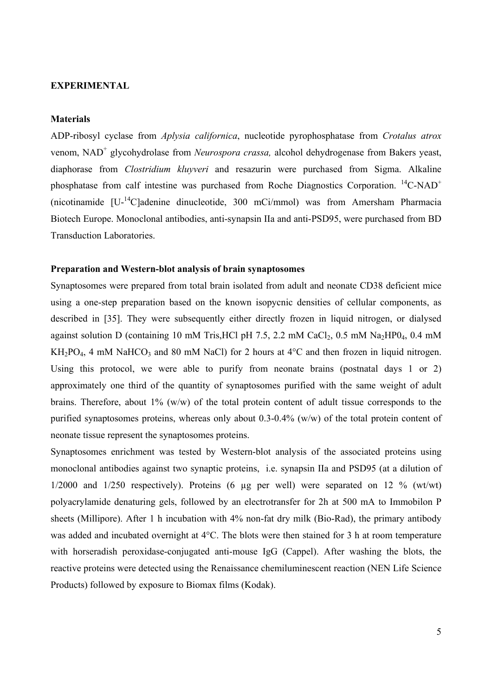#### **EXPERIMENTAL**

#### **Materials**

ADP-ribosyl cyclase from *Aplysia californica*, nucleotide pyrophosphatase from *Crotalus atrox* venom, NAD<sup>+</sup> glycohydrolase from *Neurospora crassa*, alcohol dehydrogenase from Bakers yeast, diaphorase from *Clostridium kluyveri* and resazurin were purchased from Sigma. Alkaline phosphatase from calf intestine was purchased from Roche Diagnostics Corporation.  ${}^{14}$ C-NAD<sup>+</sup> (nicotinamide [U-14C]adenine dinucleotide, 300 mCi/mmol) was from Amersham Pharmacia Biotech Europe. Monoclonal antibodies, anti-synapsin IIa and anti-PSD95, were purchased from BD Transduction Laboratories.

#### **Preparation and Western-blot analysis of brain synaptosomes**

Synaptosomes were prepared from total brain isolated from adult and neonate CD38 deficient mice using a one-step preparation based on the known isopycnic densities of cellular components, as described in [35]. They were subsequently either directly frozen in liquid nitrogen, or dialysed against solution D (containing 10 mM Tris, HCl pH 7.5, 2.2 mM CaCl<sub>2</sub>, 0.5 mM Na<sub>2</sub>HP0<sub>4</sub>, 0.4 mM  $KH_2PO_4$ , 4 mM NaHCO<sub>3</sub> and 80 mM NaCl) for 2 hours at 4°C and then frozen in liquid nitrogen. Using this protocol, we were able to purify from neonate brains (postnatal days 1 or 2) approximately one third of the quantity of synaptosomes purified with the same weight of adult brains. Therefore, about 1% (w/w) of the total protein content of adult tissue corresponds to the purified synaptosomes proteins, whereas only about 0.3-0.4% (w/w) of the total protein content of neonate tissue represent the synaptosomes proteins.

Synaptosomes enrichment was tested by Western-blot analysis of the associated proteins using monoclonal antibodies against two synaptic proteins, i.e. synapsin IIa and PSD95 (at a dilution of 1/2000 and 1/250 respectively). Proteins (6 µg per well) were separated on 12 % (wt/wt) polyacrylamide denaturing gels, followed by an electrotransfer for 2h at 500 mA to Immobilon P sheets (Millipore). After 1 h incubation with 4% non-fat dry milk (Bio-Rad), the primary antibody was added and incubated overnight at 4°C. The blots were then stained for 3 h at room temperature with horseradish peroxidase-conjugated anti-mouse IgG (Cappel). After washing the blots, the reactive proteins were detected using the Renaissance chemiluminescent reaction (NEN Life Science Products) followed by exposure to Biomax films (Kodak).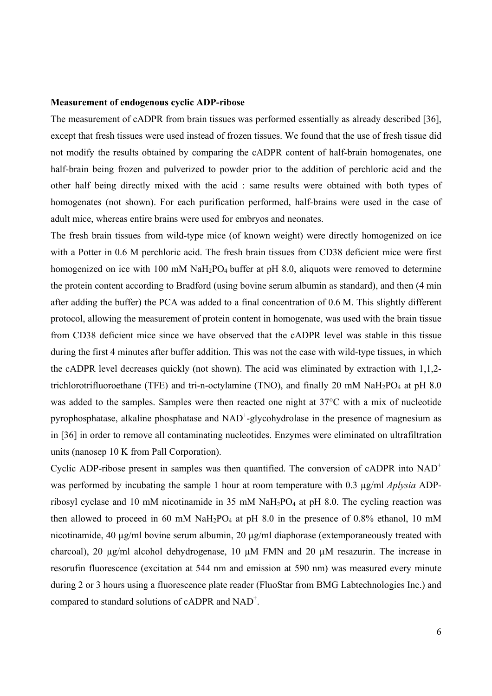#### **Measurement of endogenous cyclic ADP-ribose**

The measurement of cADPR from brain tissues was performed essentially as already described [36], except that fresh tissues were used instead of frozen tissues. We found that the use of fresh tissue did not modify the results obtained by comparing the cADPR content of half-brain homogenates, one half-brain being frozen and pulverized to powder prior to the addition of perchloric acid and the other half being directly mixed with the acid : same results were obtained with both types of homogenates (not shown). For each purification performed, half-brains were used in the case of adult mice, whereas entire brains were used for embryos and neonates.

The fresh brain tissues from wild-type mice (of known weight) were directly homogenized on ice with a Potter in 0.6 M perchloric acid. The fresh brain tissues from CD38 deficient mice were first homogenized on ice with 100 mM NaH<sub>2</sub>PO<sub>4</sub> buffer at pH 8.0, aliquots were removed to determine the protein content according to Bradford (using bovine serum albumin as standard), and then (4 min after adding the buffer) the PCA was added to a final concentration of 0.6 M. This slightly different protocol, allowing the measurement of protein content in homogenate, was used with the brain tissue from CD38 deficient mice since we have observed that the cADPR level was stable in this tissue during the first 4 minutes after buffer addition. This was not the case with wild-type tissues, in which the cADPR level decreases quickly (not shown). The acid was eliminated by extraction with 1,1,2 trichlorotrifluoroethane (TFE) and tri-n-octylamine (TNO), and finally 20 mM NaH<sub>2</sub>PO<sub>4</sub> at pH 8.0 was added to the samples. Samples were then reacted one night at 37°C with a mix of nucleotide pyrophosphatase, alkaline phosphatase and NAD<sup>+</sup>-glycohydrolase in the presence of magnesium as in [36] in order to remove all contaminating nucleotides. Enzymes were eliminated on ultrafiltration units (nanosep 10 K from Pall Corporation).

Cyclic ADP-ribose present in samples was then quantified. The conversion of cADPR into  $NAD^+$ was performed by incubating the sample 1 hour at room temperature with 0.3 µg/ml *Aplysia* ADPribosyl cyclase and 10 mM nicotinamide in 35 mM NaH2PO4 at pH 8.0. The cycling reaction was then allowed to proceed in 60 mM NaH<sub>2</sub>PO<sub>4</sub> at pH 8.0 in the presence of 0.8% ethanol, 10 mM nicotinamide, 40  $\mu$ g/ml bovine serum albumin, 20  $\mu$ g/ml diaphorase (extemporaneously treated with charcoal), 20 µg/ml alcohol dehydrogenase, 10 µM FMN and 20 µM resazurin. The increase in resorufin fluorescence (excitation at 544 nm and emission at 590 nm) was measured every minute during 2 or 3 hours using a fluorescence plate reader (FluoStar from BMG Labtechnologies Inc.) and compared to standard solutions of cADPR and  $NAD^+$ .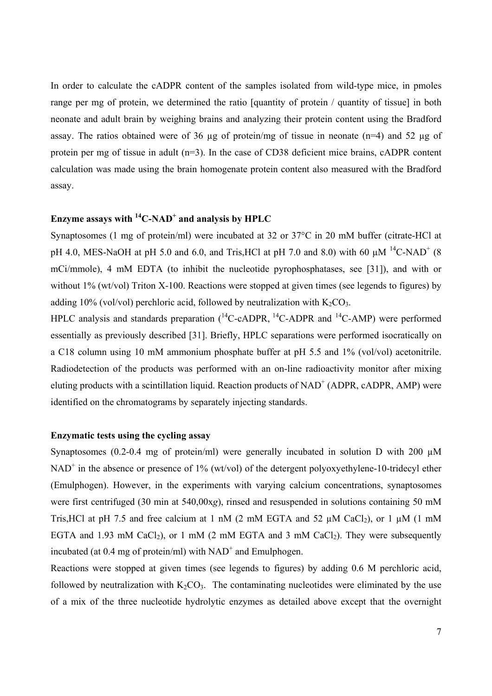In order to calculate the cADPR content of the samples isolated from wild-type mice, in pmoles range per mg of protein, we determined the ratio [quantity of protein / quantity of tissue] in both neonate and adult brain by weighing brains and analyzing their protein content using the Bradford assay. The ratios obtained were of 36  $\mu$ g of protein/mg of tissue in neonate (n=4) and 52  $\mu$ g of protein per mg of tissue in adult (n=3). In the case of CD38 deficient mice brains, cADPR content calculation was made using the brain homogenate protein content also measured with the Bradford assay.

### **Enzyme assays with 14C-NAD+ and analysis by HPLC**

Synaptosomes (1 mg of protein/ml) were incubated at 32 or 37°C in 20 mM buffer (citrate-HCl at pH 4.0, MES-NaOH at pH 5.0 and 6.0, and Tris, HCl at pH 7.0 and 8.0) with 60  $\mu$ M <sup>14</sup>C-NAD<sup>+</sup> (8 mCi/mmole), 4 mM EDTA (to inhibit the nucleotide pyrophosphatases, see [31]), and with or without 1% (wt/vol) Triton X-100. Reactions were stopped at given times (see legends to figures) by adding 10% (vol/vol) perchloric acid, followed by neutralization with  $K_2CO_3$ .

HPLC analysis and standards preparation  $(^{14}C\text{-}\alpha DPR$ ,  $^{14}C\text{-}\alpha DPR$  and  $^{14}C\text{-}\alpha MP$ ) were performed essentially as previously described [31]. Briefly, HPLC separations were performed isocratically on a C18 column using 10 mM ammonium phosphate buffer at pH 5.5 and 1% (vol/vol) acetonitrile. Radiodetection of the products was performed with an on-line radioactivity monitor after mixing eluting products with a scintillation liquid. Reaction products of  $NAD^+$  (ADPR, cADPR, AMP) were identified on the chromatograms by separately injecting standards.

### **Enzymatic tests using the cycling assay**

Synaptosomes (0.2-0.4 mg of protein/ml) were generally incubated in solution D with 200  $\mu$ M  $NAD^+$  in the absence or presence of 1% (wt/vol) of the detergent polyoxyethylene-10-tridecyl ether (Emulphogen). However, in the experiments with varying calcium concentrations, synaptosomes were first centrifuged (30 min at 540,00x*g*), rinsed and resuspended in solutions containing 50 mM Tris, HCl at pH 7.5 and free calcium at 1 nM (2 mM EGTA and 52  $\mu$ M CaCl<sub>2</sub>), or 1  $\mu$ M (1 mM EGTA and 1.93 mM CaCl<sub>2</sub>), or 1 mM (2 mM EGTA and 3 mM CaCl<sub>2</sub>). They were subsequently incubated (at 0.4 mg of protein/ml) with  $NAD^+$  and Emulphogen.

Reactions were stopped at given times (see legends to figures) by adding 0.6 M perchloric acid, followed by neutralization with  $K_2CO_3$ . The contaminating nucleotides were eliminated by the use of a mix of the three nucleotide hydrolytic enzymes as detailed above except that the overnight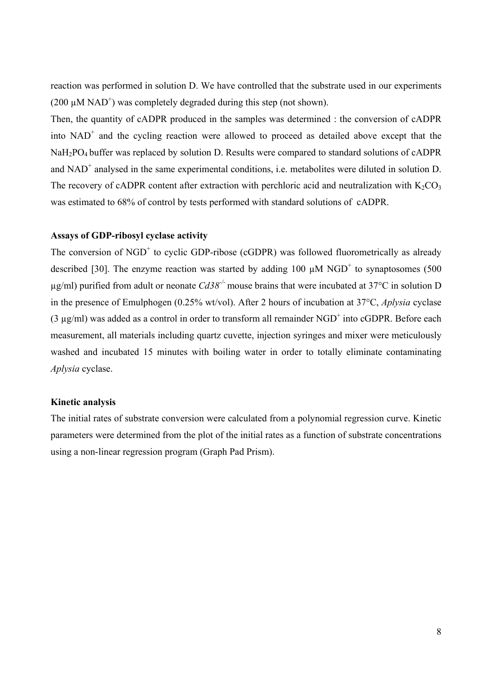reaction was performed in solution D. We have controlled that the substrate used in our experiments (200  $\mu$ M NAD<sup>+</sup>) was completely degraded during this step (not shown).

Then, the quantity of cADPR produced in the samples was determined : the conversion of cADPR into  $NAD<sup>+</sup>$  and the cycling reaction were allowed to proceed as detailed above except that the NaH<sub>2</sub>PO<sub>4</sub> buffer was replaced by solution D. Results were compared to standard solutions of cADPR and  $NAD^+$  analysed in the same experimental conditions, i.e. metabolites were diluted in solution D. The recovery of cADPR content after extraction with perchloric acid and neutralization with  $K_2CO_3$ was estimated to 68% of control by tests performed with standard solutions of cADPR.

### **Assays of GDP-ribosyl cyclase activity**

The conversion of NGD<sup>+</sup> to cyclic GDP-ribose (cGDPR) was followed fluorometrically as already described [30]. The enzyme reaction was started by adding 100  $\mu$ M NGD<sup>+</sup> to synaptosomes (500 µg/ml) purified from adult or neonate *Cd38-/-* mouse brains that were incubated at 37°C in solution D in the presence of Emulphogen (0.25% wt/vol). After 2 hours of incubation at 37°C, *Aplysia* cyclase  $(3 \mu g/ml)$  was added as a control in order to transform all remainder NGD<sup>+</sup> into cGDPR. Before each measurement, all materials including quartz cuvette, injection syringes and mixer were meticulously washed and incubated 15 minutes with boiling water in order to totally eliminate contaminating *Aplysia* cyclase.

#### **Kinetic analysis**

The initial rates of substrate conversion were calculated from a polynomial regression curve. Kinetic parameters were determined from the plot of the initial rates as a function of substrate concentrations using a non-linear regression program (Graph Pad Prism).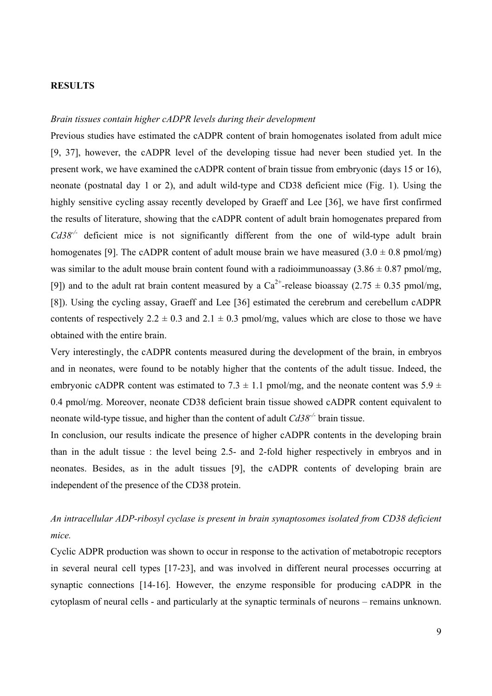### **RESULTS**

#### *Brain tissues contain higher cADPR levels during their development*

Previous studies have estimated the cADPR content of brain homogenates isolated from adult mice [9, 37], however, the cADPR level of the developing tissue had never been studied yet. In the present work, we have examined the cADPR content of brain tissue from embryonic (days 15 or 16), neonate (postnatal day 1 or 2), and adult wild-type and CD38 deficient mice (Fig. 1). Using the highly sensitive cycling assay recently developed by Graeff and Lee [36], we have first confirmed the results of literature, showing that the cADPR content of adult brain homogenates prepared from *Cd38<sup>-/-</sup>* deficient mice is not significantly different from the one of wild-type adult brain homogenates [9]. The cADPR content of adult mouse brain we have measured  $(3.0 \pm 0.8 \text{ pmol/mg})$ was similar to the adult mouse brain content found with a radioimmunoassay  $(3.86 \pm 0.87 \text{ pmol/mg})$ , [9]) and to the adult rat brain content measured by a  $Ca^{2+}$ -release bioassay (2.75  $\pm$  0.35 pmol/mg, [8]). Using the cycling assay, Graeff and Lee [36] estimated the cerebrum and cerebellum cADPR contents of respectively  $2.2 \pm 0.3$  and  $2.1 \pm 0.3$  pmol/mg, values which are close to those we have obtained with the entire brain.

Very interestingly, the cADPR contents measured during the development of the brain, in embryos and in neonates, were found to be notably higher that the contents of the adult tissue. Indeed, the embryonic cADPR content was estimated to 7.3  $\pm$  1.1 pmol/mg, and the neonate content was 5.9  $\pm$ 0.4 pmol/mg. Moreover, neonate CD38 deficient brain tissue showed cADPR content equivalent to neonate wild-type tissue, and higher than the content of adult *Cd38-/-* brain tissue.

In conclusion, our results indicate the presence of higher cADPR contents in the developing brain than in the adult tissue : the level being 2.5- and 2-fold higher respectively in embryos and in neonates. Besides, as in the adult tissues [9], the cADPR contents of developing brain are independent of the presence of the CD38 protein.

### *An intracellular ADP-ribosyl cyclase is present in brain synaptosomes isolated from CD38 deficient mice.*

Cyclic ADPR production was shown to occur in response to the activation of metabotropic receptors in several neural cell types [17-23], and was involved in different neural processes occurring at synaptic connections [14-16]. However, the enzyme responsible for producing cADPR in the cytoplasm of neural cells - and particularly at the synaptic terminals of neurons – remains unknown.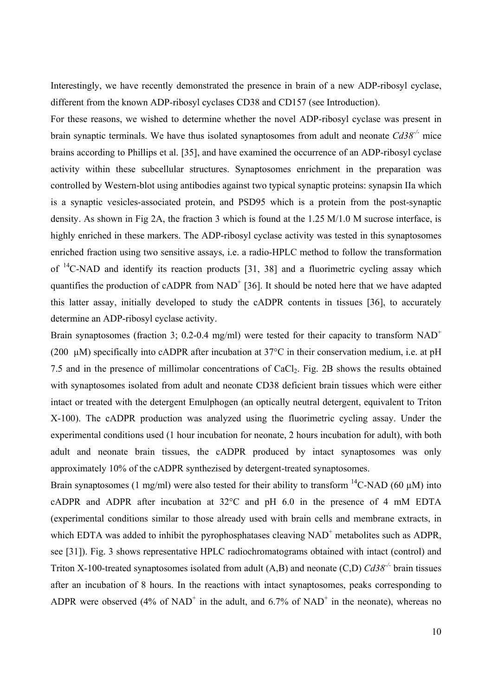Interestingly, we have recently demonstrated the presence in brain of a new ADP-ribosyl cyclase, different from the known ADP-ribosyl cyclases CD38 and CD157 (see Introduction).

For these reasons, we wished to determine whether the novel ADP-ribosyl cyclase was present in brain synaptic terminals. We have thus isolated synaptosomes from adult and neonate *Cd38-/-* mice brains according to Phillips et al. [35], and have examined the occurrence of an ADP-ribosyl cyclase activity within these subcellular structures. Synaptosomes enrichment in the preparation was controlled by Western-blot using antibodies against two typical synaptic proteins: synapsin IIa which is a synaptic vesicles-associated protein, and PSD95 which is a protein from the post-synaptic density. As shown in Fig 2A, the fraction 3 which is found at the 1.25 M/1.0 M sucrose interface, is highly enriched in these markers. The ADP-ribosyl cyclase activity was tested in this synaptosomes enriched fraction using two sensitive assays, i.e. a radio-HPLC method to follow the transformation of  $^{14}$ C-NAD and identify its reaction products [31, 38] and a fluorimetric cycling assay which quantifies the production of cADPR from  $NAD^+$  [36]. It should be noted here that we have adapted this latter assay, initially developed to study the cADPR contents in tissues [36], to accurately determine an ADP-ribosyl cyclase activity.

Brain synaptosomes (fraction 3; 0.2-0.4 mg/ml) were tested for their capacity to transform  $NAD^+$ (200  $\mu$ M) specifically into cADPR after incubation at 37°C in their conservation medium, i.e. at pH 7.5 and in the presence of millimolar concentrations of CaCl<sub>2</sub>. Fig. 2B shows the results obtained with synaptosomes isolated from adult and neonate CD38 deficient brain tissues which were either intact or treated with the detergent Emulphogen (an optically neutral detergent, equivalent to Triton X-100). The cADPR production was analyzed using the fluorimetric cycling assay. Under the experimental conditions used (1 hour incubation for neonate, 2 hours incubation for adult), with both adult and neonate brain tissues, the cADPR produced by intact synaptosomes was only approximately 10% of the cADPR synthezised by detergent-treated synaptosomes.

Brain synaptosomes (1 mg/ml) were also tested for their ability to transform <sup>14</sup>C-NAD (60  $\mu$ M) into cADPR and ADPR after incubation at 32°C and pH 6.0 in the presence of 4 mM EDTA (experimental conditions similar to those already used with brain cells and membrane extracts, in which EDTA was added to inhibit the pyrophosphatases cleaving  $NAD<sup>+</sup>$  metabolites such as ADPR, see [31]). Fig. 3 shows representative HPLC radiochromatograms obtained with intact (control) and Triton X-100-treated synaptosomes isolated from adult (A,B) and neonate (C,D) *Cd38-/-* brain tissues after an incubation of 8 hours. In the reactions with intact synaptosomes, peaks corresponding to ADPR were observed (4% of NAD<sup>+</sup> in the adult, and 6.7% of NAD<sup>+</sup> in the neonate), whereas no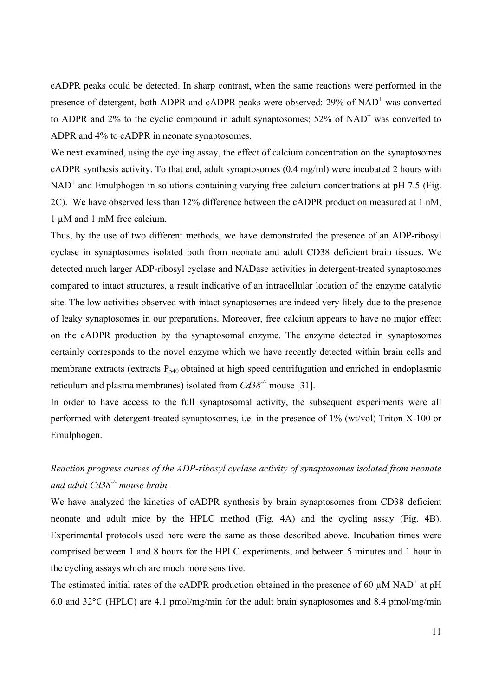cADPR peaks could be detected. In sharp contrast, when the same reactions were performed in the presence of detergent, both ADPR and cADPR peaks were observed: 29% of NAD<sup>+</sup> was converted to ADPR and  $2\%$  to the cyclic compound in adult synaptosomes; 52% of NAD<sup>+</sup> was converted to ADPR and 4% to cADPR in neonate synaptosomes.

We next examined, using the cycling assay, the effect of calcium concentration on the synaptosomes cADPR synthesis activity. To that end, adult synaptosomes (0.4 mg/ml) were incubated 2 hours with NAD<sup>+</sup> and Emulphogen in solutions containing varying free calcium concentrations at pH 7.5 (Fig. 2C). We have observed less than 12% difference between the cADPR production measured at 1 nM, 1 µM and 1 mM free calcium.

Thus, by the use of two different methods, we have demonstrated the presence of an ADP-ribosyl cyclase in synaptosomes isolated both from neonate and adult CD38 deficient brain tissues. We detected much larger ADP-ribosyl cyclase and NADase activities in detergent-treated synaptosomes compared to intact structures, a result indicative of an intracellular location of the enzyme catalytic site. The low activities observed with intact synaptosomes are indeed very likely due to the presence of leaky synaptosomes in our preparations. Moreover, free calcium appears to have no major effect on the cADPR production by the synaptosomal enzyme. The enzyme detected in synaptosomes certainly corresponds to the novel enzyme which we have recently detected within brain cells and membrane extracts (extracts  $P_{540}$  obtained at high speed centrifugation and enriched in endoplasmic reticulum and plasma membranes) isolated from *Cd38-/-* mouse [31].

In order to have access to the full synaptosomal activity, the subsequent experiments were all performed with detergent-treated synaptosomes, i.e. in the presence of 1% (wt/vol) Triton X-100 or Emulphogen.

### *Reaction progress curves of the ADP-ribosyl cyclase activity of synaptosomes isolated from neonate and adult Cd38-/- mouse brain.*

We have analyzed the kinetics of cADPR synthesis by brain synaptosomes from CD38 deficient neonate and adult mice by the HPLC method (Fig. 4A) and the cycling assay (Fig. 4B). Experimental protocols used here were the same as those described above. Incubation times were comprised between 1 and 8 hours for the HPLC experiments, and between 5 minutes and 1 hour in the cycling assays which are much more sensitive.

The estimated initial rates of the cADPR production obtained in the presence of 60  $\mu$ M NAD<sup>+</sup> at pH 6.0 and 32°C (HPLC) are 4.1 pmol/mg/min for the adult brain synaptosomes and 8.4 pmol/mg/min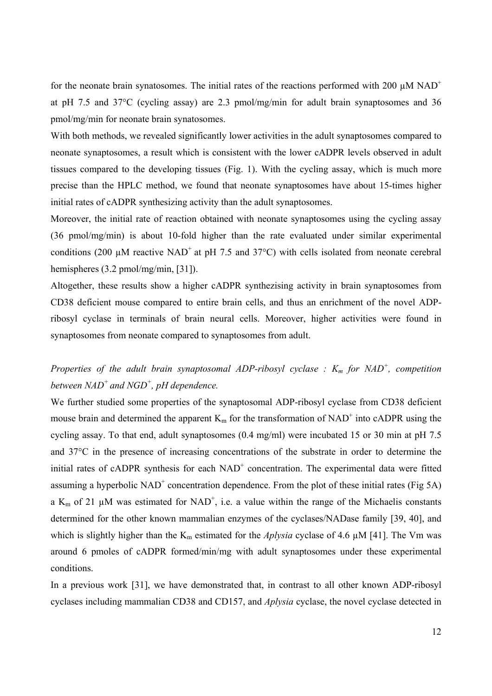for the neonate brain synatosomes. The initial rates of the reactions performed with 200  $\mu$ M NAD<sup>+</sup> at pH 7.5 and 37°C (cycling assay) are 2.3 pmol/mg/min for adult brain synaptosomes and 36 pmol/mg/min for neonate brain synatosomes.

With both methods, we revealed significantly lower activities in the adult synaptosomes compared to neonate synaptosomes, a result which is consistent with the lower cADPR levels observed in adult tissues compared to the developing tissues (Fig. 1). With the cycling assay, which is much more precise than the HPLC method, we found that neonate synaptosomes have about 15-times higher initial rates of cADPR synthesizing activity than the adult synaptosomes.

Moreover, the initial rate of reaction obtained with neonate synaptosomes using the cycling assay (36 pmol/mg/min) is about 10-fold higher than the rate evaluated under similar experimental conditions (200  $\mu$ M reactive NAD<sup>+</sup> at pH 7.5 and 37 $^{\circ}$ C) with cells isolated from neonate cerebral hemispheres (3.2 pmol/mg/min, [31]).

Altogether, these results show a higher cADPR synthezising activity in brain synaptosomes from CD38 deficient mouse compared to entire brain cells, and thus an enrichment of the novel ADPribosyl cyclase in terminals of brain neural cells. Moreover, higher activities were found in synaptosomes from neonate compared to synaptosomes from adult.

## *Properties of the adult brain synaptosomal ADP-ribosyl cyclase :*  $K_m$  *for NAD<sup>+</sup>, competition between NAD+ and NGD+ , pH dependence.*

We further studied some properties of the synaptosomal ADP-ribosyl cyclase from CD38 deficient mouse brain and determined the apparent  $K_m$  for the transformation of NAD<sup>+</sup> into cADPR using the cycling assay. To that end, adult synaptosomes (0.4 mg/ml) were incubated 15 or 30 min at pH 7.5 and 37°C in the presence of increasing concentrations of the substrate in order to determine the initial rates of cADPR synthesis for each NAD<sup>+</sup> concentration. The experimental data were fitted assuming a hyperbolic  $NAD^+$  concentration dependence. From the plot of these initial rates (Fig 5A) a  $K_m$  of 21  $\mu$ M was estimated for NAD<sup>+</sup>, i.e. a value within the range of the Michaelis constants determined for the other known mammalian enzymes of the cyclases/NADase family [39, 40], and which is slightly higher than the  $K_m$  estimated for the *Aplysia* cyclase of 4.6  $\mu$ M [41]. The Vm was around 6 pmoles of cADPR formed/min/mg with adult synaptosomes under these experimental conditions.

In a previous work [31], we have demonstrated that, in contrast to all other known ADP-ribosyl cyclases including mammalian CD38 and CD157, and *Aplysia* cyclase, the novel cyclase detected in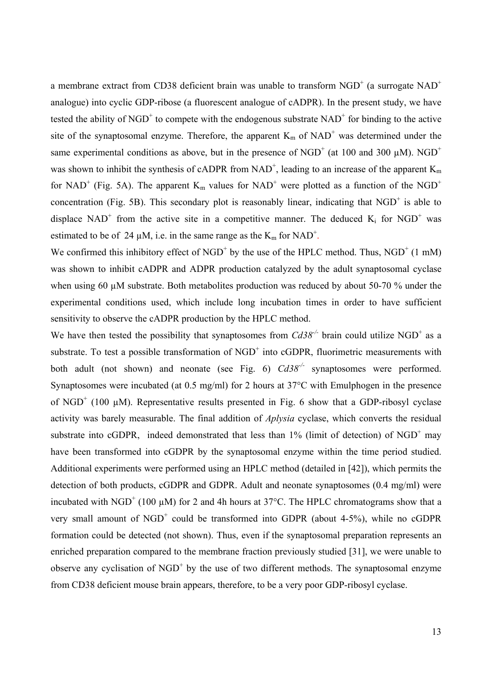a membrane extract from CD38 deficient brain was unable to transform  $\mathrm{NGD}^{+}$  (a surrogate  $\mathrm{NAD}^{+}$ analogue) into cyclic GDP-ribose (a fluorescent analogue of cADPR). In the present study, we have tested the ability of NGD<sup>+</sup> to compete with the endogenous substrate  $NAD^+$  for binding to the active site of the synaptosomal enzyme. Therefore, the apparent  $K_m$  of  $NAD^+$  was determined under the same experimental conditions as above, but in the presence of NGD<sup>+</sup> (at 100 and 300  $\mu$ M). NGD<sup>+</sup> was shown to inhibit the synthesis of cADPR from NAD<sup>+</sup>, leading to an increase of the apparent  $K_m$ for NAD<sup>+</sup> (Fig. 5A). The apparent  $K_m$  values for NAD<sup>+</sup> were plotted as a function of the NGD<sup>+</sup> concentration (Fig. 5B). This secondary plot is reasonably linear, indicating that  $NGD<sup>+</sup>$  is able to displace NAD<sup>+</sup> from the active site in a competitive manner. The deduced  $K_i$  for NGD<sup>+</sup> was estimated to be of 24  $\mu$ M, i.e. in the same range as the  $K_m$  for NAD<sup>+</sup>.

We confirmed this inhibitory effect of  $NGD<sup>+</sup>$  by the use of the HPLC method. Thus,  $NGD<sup>+</sup>$  (1 mM) was shown to inhibit cADPR and ADPR production catalyzed by the adult synaptosomal cyclase when using 60  $\mu$ M substrate. Both metabolites production was reduced by about 50-70 % under the experimental conditions used, which include long incubation times in order to have sufficient sensitivity to observe the cADPR production by the HPLC method.

We have then tested the possibility that synaptosomes from  $Cd38^{-/-}$  brain could utilize NGD<sup>+</sup> as a substrate. To test a possible transformation of  $\mathrm{NGD}^+$  into cGDPR, fluorimetric measurements with both adult (not shown) and neonate (see Fig. 6)  $Cd38^{-/-}$  synaptosomes were performed. Synaptosomes were incubated (at 0.5 mg/ml) for 2 hours at 37°C with Emulphogen in the presence of NGD<sup>+</sup> (100  $\mu$ M). Representative results presented in Fig. 6 show that a GDP-ribosyl cyclase activity was barely measurable. The final addition of *Aplysia* cyclase, which converts the residual substrate into cGDPR, indeed demonstrated that less than  $1\%$  (limit of detection) of NGD<sup>+</sup> may have been transformed into cGDPR by the synaptosomal enzyme within the time period studied. Additional experiments were performed using an HPLC method (detailed in [42]), which permits the detection of both products, cGDPR and GDPR. Adult and neonate synaptosomes (0.4 mg/ml) were incubated with NGD<sup>+</sup> (100  $\mu$ M) for 2 and 4h hours at 37°C. The HPLC chromatograms show that a very small amount of  $NGD^+$  could be transformed into GDPR (about 4-5%), while no cGDPR formation could be detected (not shown). Thus, even if the synaptosomal preparation represents an enriched preparation compared to the membrane fraction previously studied [31], we were unable to observe any cyclisation of  $NGD<sup>+</sup>$  by the use of two different methods. The synaptosomal enzyme from CD38 deficient mouse brain appears, therefore, to be a very poor GDP-ribosyl cyclase.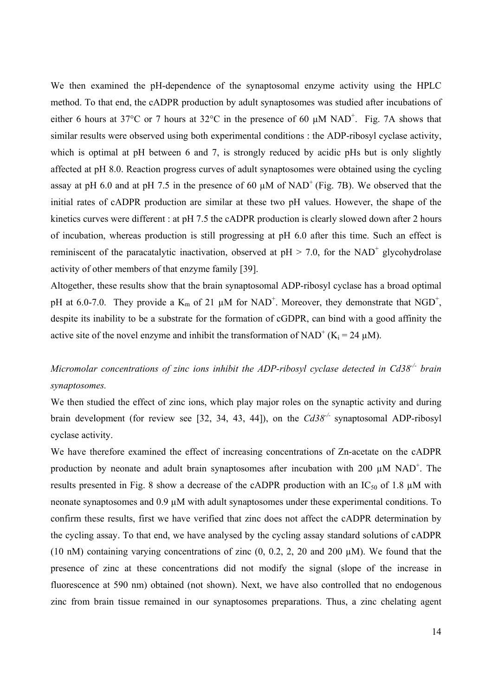We then examined the pH-dependence of the synaptosomal enzyme activity using the HPLC method. To that end, the cADPR production by adult synaptosomes was studied after incubations of either 6 hours at 37 $^{\circ}$ C or 7 hours at 32 $^{\circ}$ C in the presence of 60  $\mu$ M NAD<sup>+</sup>. Fig. 7A shows that similar results were observed using both experimental conditions : the ADP-ribosyl cyclase activity, which is optimal at pH between 6 and 7, is strongly reduced by acidic pHs but is only slightly affected at pH 8.0. Reaction progress curves of adult synaptosomes were obtained using the cycling assay at pH 6.0 and at pH 7.5 in the presence of 60  $\mu$ M of NAD<sup>+</sup> (Fig. 7B). We observed that the initial rates of cADPR production are similar at these two pH values. However, the shape of the kinetics curves were different : at pH 7.5 the cADPR production is clearly slowed down after 2 hours of incubation, whereas production is still progressing at pH 6.0 after this time. Such an effect is reminiscent of the paracatalytic inactivation, observed at  $pH > 7.0$ , for the NAD<sup>+</sup> glycohydrolase activity of other members of that enzyme family [39].

Altogether, these results show that the brain synaptosomal ADP-ribosyl cyclase has a broad optimal pH at 6.0-7.0. They provide a  $K_m$  of 21  $\mu$ M for NAD<sup>+</sup>. Moreover, they demonstrate that NGD<sup>+</sup>, despite its inability to be a substrate for the formation of cGDPR, can bind with a good affinity the active site of the novel enzyme and inhibit the transformation of NAD<sup>+</sup> (K<sub>i</sub> = 24  $\mu$ M).

## *Micromolar concentrations of zinc ions inhibit the ADP-ribosyl cyclase detected in Cd38-/- brain synaptosomes.*

We then studied the effect of zinc ions, which play major roles on the synaptic activity and during brain development (for review see [32, 34, 43, 44]), on the *Cd38-/-* synaptosomal ADP-ribosyl cyclase activity.

We have therefore examined the effect of increasing concentrations of Zn-acetate on the cADPR production by neonate and adult brain synaptosomes after incubation with 200  $\mu$ M NAD<sup>+</sup>. The results presented in Fig. 8 show a decrease of the cADPR production with an  $IC_{50}$  of 1.8  $\mu$ M with neonate synaptosomes and 0.9  $\mu$ M with adult synaptosomes under these experimental conditions. To confirm these results, first we have verified that zinc does not affect the cADPR determination by the cycling assay. To that end, we have analysed by the cycling assay standard solutions of cADPR (10 nM) containing varying concentrations of zinc  $(0, 0.2, 2, 20, 20, 20, 20)$  µM). We found that the presence of zinc at these concentrations did not modify the signal (slope of the increase in fluorescence at 590 nm) obtained (not shown). Next, we have also controlled that no endogenous zinc from brain tissue remained in our synaptosomes preparations. Thus, a zinc chelating agent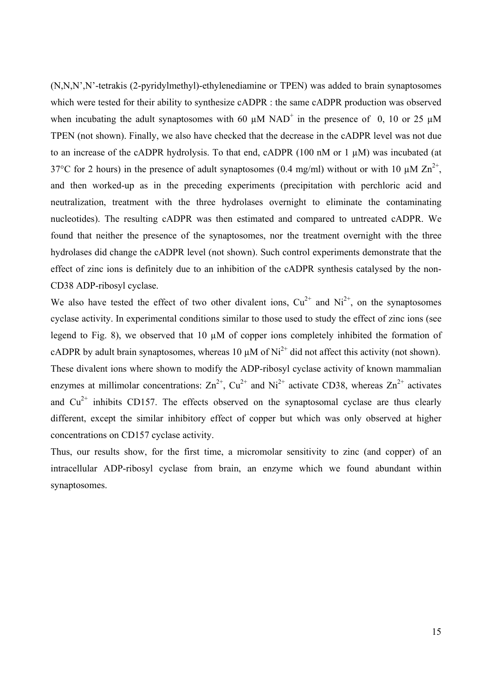(N,N,N',N'-tetrakis (2-pyridylmethyl)-ethylenediamine or TPEN) was added to brain synaptosomes which were tested for their ability to synthesize cADPR : the same cADPR production was observed when incubating the adult synaptosomes with 60  $\mu$ M NAD<sup>+</sup> in the presence of 0, 10 or 25  $\mu$ M TPEN (not shown). Finally, we also have checked that the decrease in the cADPR level was not due to an increase of the cADPR hydrolysis. To that end, cADPR (100 nM or 1  $\mu$ M) was incubated (at 37°C for 2 hours) in the presence of adult synaptosomes (0.4 mg/ml) without or with 10  $\mu$ M Zn<sup>2+</sup>, and then worked-up as in the preceding experiments (precipitation with perchloric acid and neutralization, treatment with the three hydrolases overnight to eliminate the contaminating nucleotides). The resulting cADPR was then estimated and compared to untreated cADPR. We found that neither the presence of the synaptosomes, nor the treatment overnight with the three hydrolases did change the cADPR level (not shown). Such control experiments demonstrate that the effect of zinc ions is definitely due to an inhibition of the cADPR synthesis catalysed by the non-CD38 ADP-ribosyl cyclase.

We also have tested the effect of two other divalent ions,  $Cu^{2+}$  and  $Ni^{2+}$ , on the synaptosomes cyclase activity. In experimental conditions similar to those used to study the effect of zinc ions (see legend to Fig. 8), we observed that 10 µM of copper ions completely inhibited the formation of cADPR by adult brain synaptosomes, whereas 10  $\mu$ M of Ni<sup>2+</sup> did not affect this activity (not shown). These divalent ions where shown to modify the ADP-ribosyl cyclase activity of known mammalian enzymes at millimolar concentrations:  $\text{Zn}^{2+}$ ,  $\text{Cu}^{2+}$  and  $\text{Ni}^{2+}$  activate CD38, whereas  $\text{Zn}^{2+}$  activates and  $Cu<sup>2+</sup>$  inhibits CD157. The effects observed on the synaptosomal cyclase are thus clearly different, except the similar inhibitory effect of copper but which was only observed at higher concentrations on CD157 cyclase activity.

Thus, our results show, for the first time, a micromolar sensitivity to zinc (and copper) of an intracellular ADP-ribosyl cyclase from brain, an enzyme which we found abundant within synaptosomes.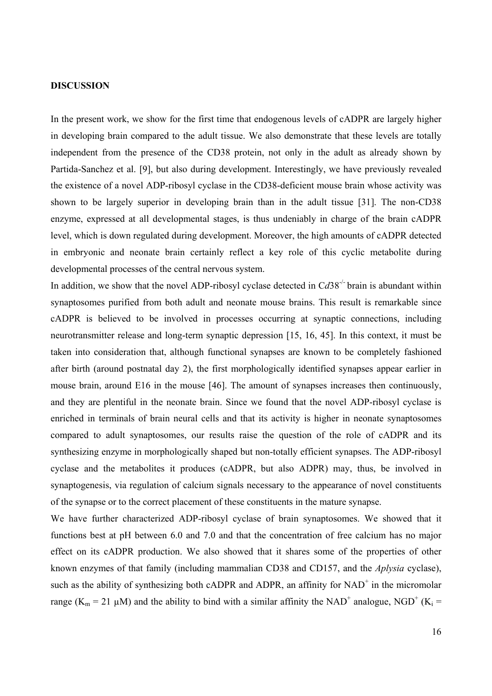#### **DISCUSSION**

In the present work, we show for the first time that endogenous levels of cADPR are largely higher in developing brain compared to the adult tissue. We also demonstrate that these levels are totally independent from the presence of the CD38 protein, not only in the adult as already shown by Partida-Sanchez et al. [9], but also during development. Interestingly, we have previously revealed the existence of a novel ADP-ribosyl cyclase in the CD38-deficient mouse brain whose activity was shown to be largely superior in developing brain than in the adult tissue [31]. The non-CD38 enzyme, expressed at all developmental stages, is thus undeniably in charge of the brain cADPR level, which is down regulated during development. Moreover, the high amounts of cADPR detected in embryonic and neonate brain certainly reflect a key role of this cyclic metabolite during developmental processes of the central nervous system.

In addition, we show that the novel ADP-ribosyl cyclase detected in Cd38<sup>-/-</sup> brain is abundant within synaptosomes purified from both adult and neonate mouse brains. This result is remarkable since cADPR is believed to be involved in processes occurring at synaptic connections, including neurotransmitter release and long-term synaptic depression [15, 16, 45]. In this context, it must be taken into consideration that, although functional synapses are known to be completely fashioned after birth (around postnatal day 2), the first morphologically identified synapses appear earlier in mouse brain, around E16 in the mouse [46]. The amount of synapses increases then continuously, and they are plentiful in the neonate brain. Since we found that the novel ADP-ribosyl cyclase is enriched in terminals of brain neural cells and that its activity is higher in neonate synaptosomes compared to adult synaptosomes, our results raise the question of the role of cADPR and its synthesizing enzyme in morphologically shaped but non-totally efficient synapses. The ADP-ribosyl cyclase and the metabolites it produces (cADPR, but also ADPR) may, thus, be involved in synaptogenesis, via regulation of calcium signals necessary to the appearance of novel constituents of the synapse or to the correct placement of these constituents in the mature synapse.

We have further characterized ADP-ribosyl cyclase of brain synaptosomes. We showed that it functions best at pH between 6.0 and 7.0 and that the concentration of free calcium has no major effect on its cADPR production. We also showed that it shares some of the properties of other known enzymes of that family (including mammalian CD38 and CD157, and the *Aplysia* cyclase), such as the ability of synthesizing both cADPR and ADPR, an affinity for  $NAD<sup>+</sup>$  in the micromolar range ( $K_m = 21 \mu M$ ) and the ability to bind with a similar affinity the NAD<sup>+</sup> analogue, NGD<sup>+</sup> ( $K_i$  =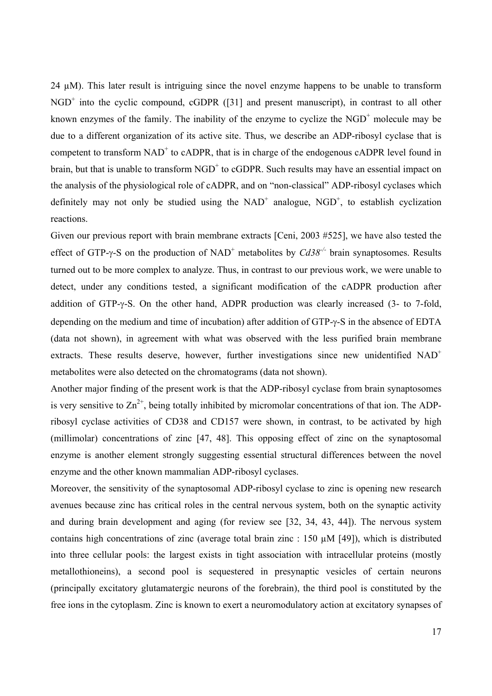24  $\mu$ M). This later result is intriguing since the novel enzyme happens to be unable to transform  $NGD<sup>+</sup>$  into the cyclic compound, cGDPR ([31] and present manuscript), in contrast to all other known enzymes of the family. The inability of the enzyme to cyclize the  $NGD<sup>+</sup>$  molecule may be due to a different organization of its active site. Thus, we describe an ADP-ribosyl cyclase that is competent to transform  $NAD^+$  to cADPR, that is in charge of the endogenous cADPR level found in brain, but that is unable to transform  $NGD<sup>+</sup>$  to cGDPR. Such results may have an essential impact on the analysis of the physiological role of cADPR, and on "non-classical" ADP-ribosyl cyclases which definitely may not only be studied using the  $NAD^+$  analogue,  $NGD^+$ , to establish cyclization reactions.

Given our previous report with brain membrane extracts [Ceni, 2003 #525], we have also tested the effect of GTP-γ-S on the production of NAD<sup>+</sup> metabolites by *Cd38<sup>-/-</sup>* brain synaptosomes. Results turned out to be more complex to analyze. Thus, in contrast to our previous work, we were unable to detect, under any conditions tested, a significant modification of the cADPR production after addition of GTP-γ-S. On the other hand, ADPR production was clearly increased (3- to 7-fold, depending on the medium and time of incubation) after addition of GTP-γ-S in the absence of EDTA (data not shown), in agreement with what was observed with the less purified brain membrane extracts. These results deserve, however, further investigations since new unidentified NAD<sup>+</sup> metabolites were also detected on the chromatograms (data not shown).

Another major finding of the present work is that the ADP-ribosyl cyclase from brain synaptosomes is very sensitive to  $\text{Zn}^{2+}$ , being totally inhibited by micromolar concentrations of that ion. The ADPribosyl cyclase activities of CD38 and CD157 were shown, in contrast, to be activated by high (millimolar) concentrations of zinc [47, 48]. This opposing effect of zinc on the synaptosomal enzyme is another element strongly suggesting essential structural differences between the novel enzyme and the other known mammalian ADP-ribosyl cyclases.

Moreover, the sensitivity of the synaptosomal ADP-ribosyl cyclase to zinc is opening new research avenues because zinc has critical roles in the central nervous system, both on the synaptic activity and during brain development and aging (for review see [32, 34, 43, 44]). The nervous system contains high concentrations of zinc (average total brain zinc : 150 µM [49]), which is distributed into three cellular pools: the largest exists in tight association with intracellular proteins (mostly metallothioneins), a second pool is sequestered in presynaptic vesicles of certain neurons (principally excitatory glutamatergic neurons of the forebrain), the third pool is constituted by the free ions in the cytoplasm. Zinc is known to exert a neuromodulatory action at excitatory synapses of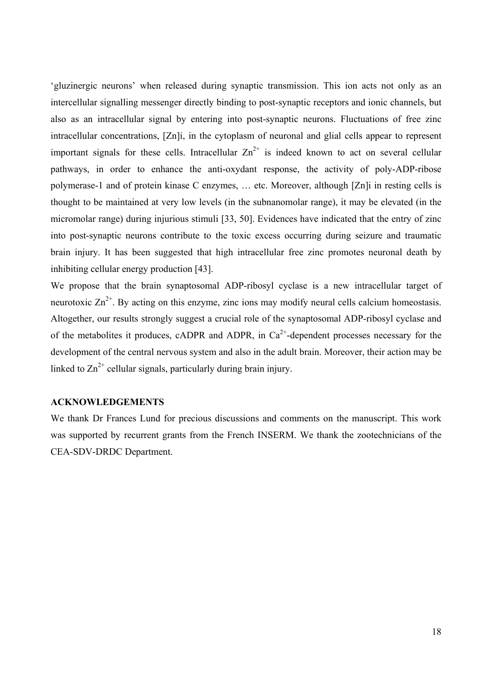'gluzinergic neurons' when released during synaptic transmission. This ion acts not only as an intercellular signalling messenger directly binding to post-synaptic receptors and ionic channels, but also as an intracellular signal by entering into post-synaptic neurons. Fluctuations of free zinc intracellular concentrations, [Zn]i, in the cytoplasm of neuronal and glial cells appear to represent important signals for these cells. Intracellular  $Zn^{2+}$  is indeed known to act on several cellular pathways, in order to enhance the anti-oxydant response, the activity of poly-ADP-ribose polymerase-1 and of protein kinase C enzymes, … etc. Moreover, although [Zn]i in resting cells is thought to be maintained at very low levels (in the subnanomolar range), it may be elevated (in the micromolar range) during injurious stimuli [33, 50]. Evidences have indicated that the entry of zinc into post-synaptic neurons contribute to the toxic excess occurring during seizure and traumatic brain injury. It has been suggested that high intracellular free zinc promotes neuronal death by inhibiting cellular energy production [43].

We propose that the brain synaptosomal ADP-ribosyl cyclase is a new intracellular target of neurotoxic  $\text{Zn}^{2+}$ . By acting on this enzyme, zinc ions may modify neural cells calcium homeostasis. Altogether, our results strongly suggest a crucial role of the synaptosomal ADP-ribosyl cyclase and of the metabolites it produces, cADPR and ADPR, in  $Ca<sup>2+</sup>$ -dependent processes necessary for the development of the central nervous system and also in the adult brain. Moreover, their action may be linked to  $Zn^{2+}$  cellular signals, particularly during brain injury.

### **ACKNOWLEDGEMENTS**

We thank Dr Frances Lund for precious discussions and comments on the manuscript. This work was supported by recurrent grants from the French INSERM. We thank the zootechnicians of the CEA-SDV-DRDC Department.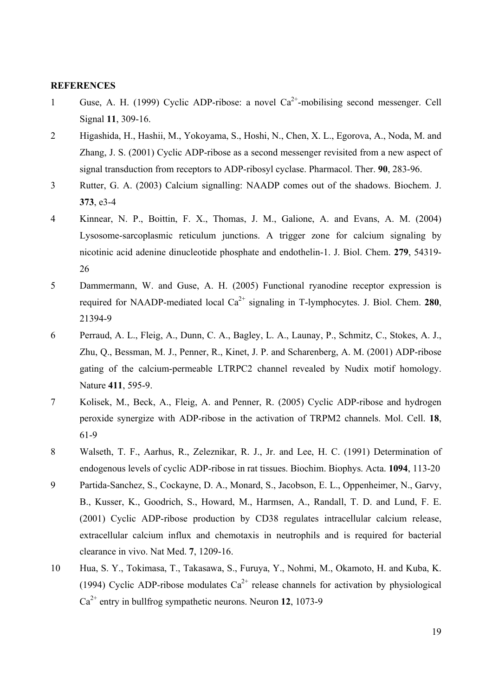#### **REFERENCES**

- 1 Guse, A. H. (1999) Cyclic ADP-ribose: a novel  $Ca^{2+}$ -mobilising second messenger. Cell Signal **11**, 309-16.
- 2 Higashida, H., Hashii, M., Yokoyama, S., Hoshi, N., Chen, X. L., Egorova, A., Noda, M. and Zhang, J. S. (2001) Cyclic ADP-ribose as a second messenger revisited from a new aspect of signal transduction from receptors to ADP-ribosyl cyclase. Pharmacol. Ther. **90**, 283-96.
- 3 Rutter, G. A. (2003) Calcium signalling: NAADP comes out of the shadows. Biochem. J. **373**, e3-4
- 4 Kinnear, N. P., Boittin, F. X., Thomas, J. M., Galione, A. and Evans, A. M. (2004) Lysosome-sarcoplasmic reticulum junctions. A trigger zone for calcium signaling by nicotinic acid adenine dinucleotide phosphate and endothelin-1. J. Biol. Chem. **279**, 54319- 26
- 5 Dammermann, W. and Guse, A. H. (2005) Functional ryanodine receptor expression is required for NAADP-mediated local  $Ca^{2+}$  signaling in T-lymphocytes. J. Biol. Chem. **280**, 21394-9
- 6 Perraud, A. L., Fleig, A., Dunn, C. A., Bagley, L. A., Launay, P., Schmitz, C., Stokes, A. J., Zhu, Q., Bessman, M. J., Penner, R., Kinet, J. P. and Scharenberg, A. M. (2001) ADP-ribose gating of the calcium-permeable LTRPC2 channel revealed by Nudix motif homology. Nature **411**, 595-9.
- 7 Kolisek, M., Beck, A., Fleig, A. and Penner, R. (2005) Cyclic ADP-ribose and hydrogen peroxide synergize with ADP-ribose in the activation of TRPM2 channels. Mol. Cell. **18**, 61-9
- 8 Walseth, T. F., Aarhus, R., Zeleznikar, R. J., Jr. and Lee, H. C. (1991) Determination of endogenous levels of cyclic ADP-ribose in rat tissues. Biochim. Biophys. Acta. **1094**, 113-20
- 9 Partida-Sanchez, S., Cockayne, D. A., Monard, S., Jacobson, E. L., Oppenheimer, N., Garvy, B., Kusser, K., Goodrich, S., Howard, M., Harmsen, A., Randall, T. D. and Lund, F. E. (2001) Cyclic ADP-ribose production by CD38 regulates intracellular calcium release, extracellular calcium influx and chemotaxis in neutrophils and is required for bacterial clearance in vivo. Nat Med. **7**, 1209-16.
- 10 Hua, S. Y., Tokimasa, T., Takasawa, S., Furuya, Y., Nohmi, M., Okamoto, H. and Kuba, K. (1994) Cyclic ADP-ribose modulates  $Ca^{2+}$  release channels for activation by physiological Ca2+ entry in bullfrog sympathetic neurons. Neuron **12**, 1073-9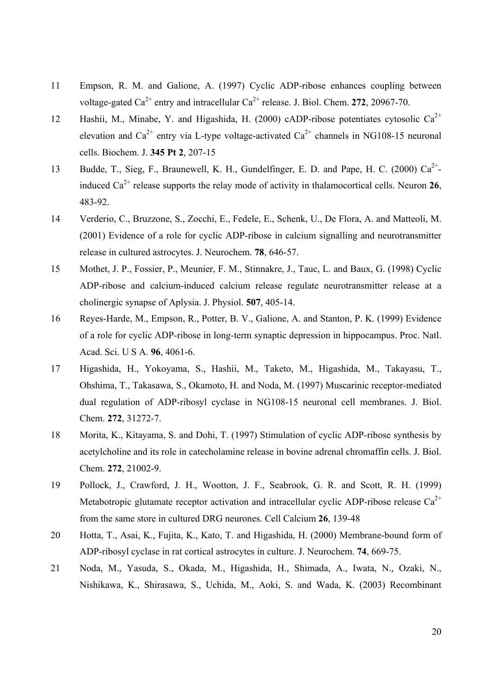- 11 Empson, R. M. and Galione, A. (1997) Cyclic ADP-ribose enhances coupling between voltage-gated  $Ca^{2+}$  entry and intracellular  $Ca^{2+}$  release. J. Biol. Chem. **272**, 20967-70.
- 12 Hashii, M., Minabe, Y. and Higashida, H. (2000) cADP-ribose potentiates cytosolic  $Ca^{2+}$ elevation and  $Ca^{2+}$  entry via L-type voltage-activated  $Ca^{2+}$  channels in NG108-15 neuronal cells. Biochem. J. **345 Pt 2**, 207-15
- 13 Budde, T., Sieg, F., Braunewell, K. H., Gundelfinger, E. D. and Pape, H. C. (2000)  $Ca^{2+}$ induced  $Ca^{2+}$  release supports the relay mode of activity in thalamocortical cells. Neuron 26, 483-92.
- 14 Verderio, C., Bruzzone, S., Zocchi, E., Fedele, E., Schenk, U., De Flora, A. and Matteoli, M. (2001) Evidence of a role for cyclic ADP-ribose in calcium signalling and neurotransmitter release in cultured astrocytes. J. Neurochem. **78**, 646-57.
- 15 Mothet, J. P., Fossier, P., Meunier, F. M., Stinnakre, J., Tauc, L. and Baux, G. (1998) Cyclic ADP-ribose and calcium-induced calcium release regulate neurotransmitter release at a cholinergic synapse of Aplysia. J. Physiol. **507**, 405-14.
- 16 Reyes-Harde, M., Empson, R., Potter, B. V., Galione, A. and Stanton, P. K. (1999) Evidence of a role for cyclic ADP-ribose in long-term synaptic depression in hippocampus. Proc. Natl. Acad. Sci. U S A. **96**, 4061-6.
- 17 Higashida, H., Yokoyama, S., Hashii, M., Taketo, M., Higashida, M., Takayasu, T., Ohshima, T., Takasawa, S., Okamoto, H. and Noda, M. (1997) Muscarinic receptor-mediated dual regulation of ADP-ribosyl cyclase in NG108-15 neuronal cell membranes. J. Biol. Chem. **272**, 31272-7.
- 18 Morita, K., Kitayama, S. and Dohi, T. (1997) Stimulation of cyclic ADP-ribose synthesis by acetylcholine and its role in catecholamine release in bovine adrenal chromaffin cells. J. Biol. Chem. **272**, 21002-9.
- 19 Pollock, J., Crawford, J. H., Wootton, J. F., Seabrook, G. R. and Scott, R. H. (1999) Metabotropic glutamate receptor activation and intracellular cyclic ADP-ribose release  $Ca^{2+}$ from the same store in cultured DRG neurones. Cell Calcium **26**, 139-48
- 20 Hotta, T., Asai, K., Fujita, K., Kato, T. and Higashida, H. (2000) Membrane-bound form of ADP-ribosyl cyclase in rat cortical astrocytes in culture. J. Neurochem. **74**, 669-75.
- 21 Noda, M., Yasuda, S., Okada, M., Higashida, H., Shimada, A., Iwata, N., Ozaki, N., Nishikawa, K., Shirasawa, S., Uchida, M., Aoki, S. and Wada, K. (2003) Recombinant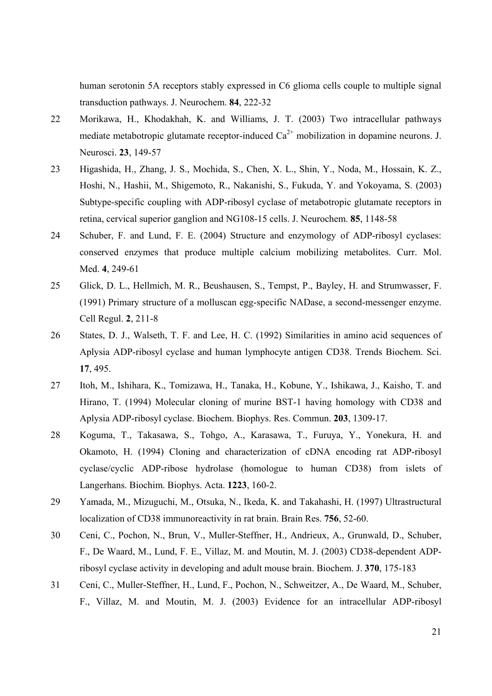human serotonin 5A receptors stably expressed in C6 glioma cells couple to multiple signal transduction pathways. J. Neurochem. **84**, 222-32

- 22 Morikawa, H., Khodakhah, K. and Williams, J. T. (2003) Two intracellular pathways mediate metabotropic glutamate receptor-induced  $Ca^{2+}$  mobilization in dopamine neurons. J. Neurosci. **23**, 149-57
- 23 Higashida, H., Zhang, J. S., Mochida, S., Chen, X. L., Shin, Y., Noda, M., Hossain, K. Z., Hoshi, N., Hashii, M., Shigemoto, R., Nakanishi, S., Fukuda, Y. and Yokoyama, S. (2003) Subtype-specific coupling with ADP-ribosyl cyclase of metabotropic glutamate receptors in retina, cervical superior ganglion and NG108-15 cells. J. Neurochem. **85**, 1148-58
- 24 Schuber, F. and Lund, F. E. (2004) Structure and enzymology of ADP-ribosyl cyclases: conserved enzymes that produce multiple calcium mobilizing metabolites. Curr. Mol. Med. **4**, 249-61
- 25 Glick, D. L., Hellmich, M. R., Beushausen, S., Tempst, P., Bayley, H. and Strumwasser, F. (1991) Primary structure of a molluscan egg-specific NADase, a second-messenger enzyme. Cell Regul. **2**, 211-8
- 26 States, D. J., Walseth, T. F. and Lee, H. C. (1992) Similarities in amino acid sequences of Aplysia ADP-ribosyl cyclase and human lymphocyte antigen CD38. Trends Biochem. Sci. **17**, 495.
- 27 Itoh, M., Ishihara, K., Tomizawa, H., Tanaka, H., Kobune, Y., Ishikawa, J., Kaisho, T. and Hirano, T. (1994) Molecular cloning of murine BST-1 having homology with CD38 and Aplysia ADP-ribosyl cyclase. Biochem. Biophys. Res. Commun. **203**, 1309-17.
- 28 Koguma, T., Takasawa, S., Tohgo, A., Karasawa, T., Furuya, Y., Yonekura, H. and Okamoto, H. (1994) Cloning and characterization of cDNA encoding rat ADP-ribosyl cyclase/cyclic ADP-ribose hydrolase (homologue to human CD38) from islets of Langerhans. Biochim. Biophys. Acta. **1223**, 160-2.
- 29 Yamada, M., Mizuguchi, M., Otsuka, N., Ikeda, K. and Takahashi, H. (1997) Ultrastructural localization of CD38 immunoreactivity in rat brain. Brain Res. **756**, 52-60.
- 30 Ceni, C., Pochon, N., Brun, V., Muller-Steffner, H., Andrieux, A., Grunwald, D., Schuber, F., De Waard, M., Lund, F. E., Villaz, M. and Moutin, M. J. (2003) CD38-dependent ADPribosyl cyclase activity in developing and adult mouse brain. Biochem. J. **370**, 175-183
- 31 Ceni, C., Muller-Steffner, H., Lund, F., Pochon, N., Schweitzer, A., De Waard, M., Schuber, F., Villaz, M. and Moutin, M. J. (2003) Evidence for an intracellular ADP-ribosyl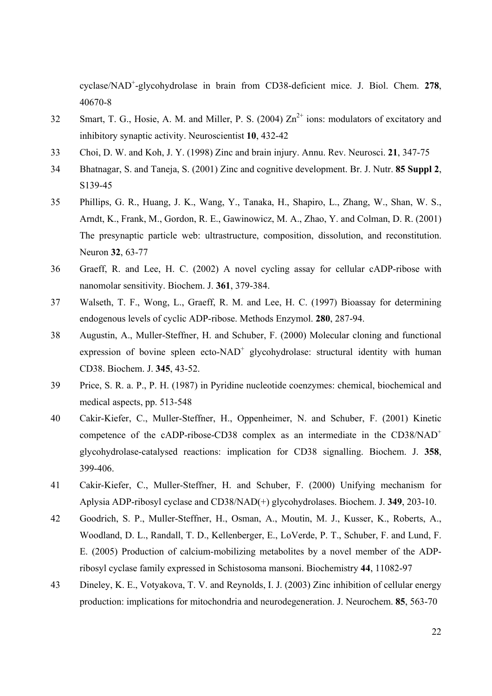cyclase/NAD+ -glycohydrolase in brain from CD38-deficient mice. J. Biol. Chem. **278**, 40670-8

- 32 Smart, T. G., Hosie, A. M. and Miller, P. S. (2004)  $\text{Zn}^{2+}$  ions: modulators of excitatory and inhibitory synaptic activity. Neuroscientist **10**, 432-42
- 33 Choi, D. W. and Koh, J. Y. (1998) Zinc and brain injury. Annu. Rev. Neurosci. **21**, 347-75
- 34 Bhatnagar, S. and Taneja, S. (2001) Zinc and cognitive development. Br. J. Nutr. **85 Suppl 2**, S139-45
- 35 Phillips, G. R., Huang, J. K., Wang, Y., Tanaka, H., Shapiro, L., Zhang, W., Shan, W. S., Arndt, K., Frank, M., Gordon, R. E., Gawinowicz, M. A., Zhao, Y. and Colman, D. R. (2001) The presynaptic particle web: ultrastructure, composition, dissolution, and reconstitution. Neuron **32**, 63-77
- 36 Graeff, R. and Lee, H. C. (2002) A novel cycling assay for cellular cADP-ribose with nanomolar sensitivity. Biochem. J. **361**, 379-384.
- 37 Walseth, T. F., Wong, L., Graeff, R. M. and Lee, H. C. (1997) Bioassay for determining endogenous levels of cyclic ADP-ribose. Methods Enzymol. **280**, 287-94.
- 38 Augustin, A., Muller-Steffner, H. and Schuber, F. (2000) Molecular cloning and functional expression of bovine spleen ecto-NAD<sup>+</sup> glycohydrolase: structural identity with human CD38. Biochem. J. **345**, 43-52.
- 39 Price, S. R. a. P., P. H. (1987) in Pyridine nucleotide coenzymes: chemical, biochemical and medical aspects, pp. 513-548
- 40 Cakir-Kiefer, C., Muller-Steffner, H., Oppenheimer, N. and Schuber, F. (2001) Kinetic competence of the cADP-ribose-CD38 complex as an intermediate in the CD38/NAD<sup>+</sup> glycohydrolase-catalysed reactions: implication for CD38 signalling. Biochem. J. **358**, 399-406.
- 41 Cakir-Kiefer, C., Muller-Steffner, H. and Schuber, F. (2000) Unifying mechanism for Aplysia ADP-ribosyl cyclase and CD38/NAD(+) glycohydrolases. Biochem. J. **349**, 203-10.
- 42 Goodrich, S. P., Muller-Steffner, H., Osman, A., Moutin, M. J., Kusser, K., Roberts, A., Woodland, D. L., Randall, T. D., Kellenberger, E., LoVerde, P. T., Schuber, F. and Lund, F. E. (2005) Production of calcium-mobilizing metabolites by a novel member of the ADPribosyl cyclase family expressed in Schistosoma mansoni. Biochemistry **44**, 11082-97
- 43 Dineley, K. E., Votyakova, T. V. and Reynolds, I. J. (2003) Zinc inhibition of cellular energy production: implications for mitochondria and neurodegeneration. J. Neurochem. **85**, 563-70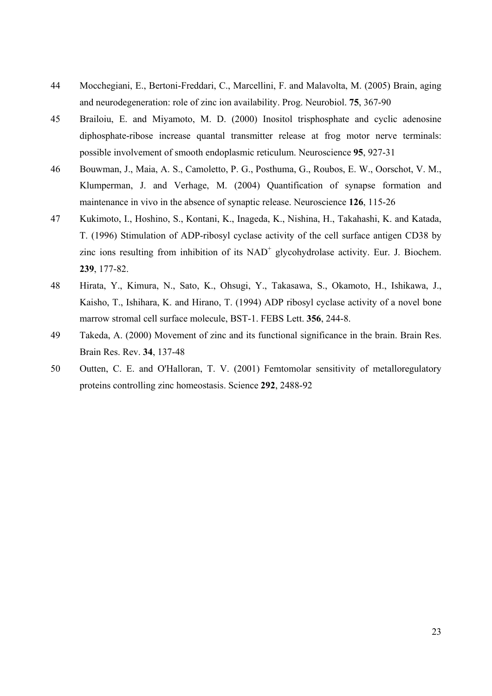- 44 Mocchegiani, E., Bertoni-Freddari, C., Marcellini, F. and Malavolta, M. (2005) Brain, aging and neurodegeneration: role of zinc ion availability. Prog. Neurobiol. **75**, 367-90
- 45 Brailoiu, E. and Miyamoto, M. D. (2000) Inositol trisphosphate and cyclic adenosine diphosphate-ribose increase quantal transmitter release at frog motor nerve terminals: possible involvement of smooth endoplasmic reticulum. Neuroscience **95**, 927-31
- 46 Bouwman, J., Maia, A. S., Camoletto, P. G., Posthuma, G., Roubos, E. W., Oorschot, V. M., Klumperman, J. and Verhage, M. (2004) Quantification of synapse formation and maintenance in vivo in the absence of synaptic release. Neuroscience **126**, 115-26
- 47 Kukimoto, I., Hoshino, S., Kontani, K., Inageda, K., Nishina, H., Takahashi, K. and Katada, T. (1996) Stimulation of ADP-ribosyl cyclase activity of the cell surface antigen CD38 by zinc ions resulting from inhibition of its  $NAD<sup>+</sup>$  glycohydrolase activity. Eur. J. Biochem. **239**, 177-82.
- 48 Hirata, Y., Kimura, N., Sato, K., Ohsugi, Y., Takasawa, S., Okamoto, H., Ishikawa, J., Kaisho, T., Ishihara, K. and Hirano, T. (1994) ADP ribosyl cyclase activity of a novel bone marrow stromal cell surface molecule, BST-1. FEBS Lett. **356**, 244-8.
- 49 Takeda, A. (2000) Movement of zinc and its functional significance in the brain. Brain Res. Brain Res. Rev. **34**, 137-48
- 50 Outten, C. E. and O'Halloran, T. V. (2001) Femtomolar sensitivity of metalloregulatory proteins controlling zinc homeostasis. Science **292**, 2488-92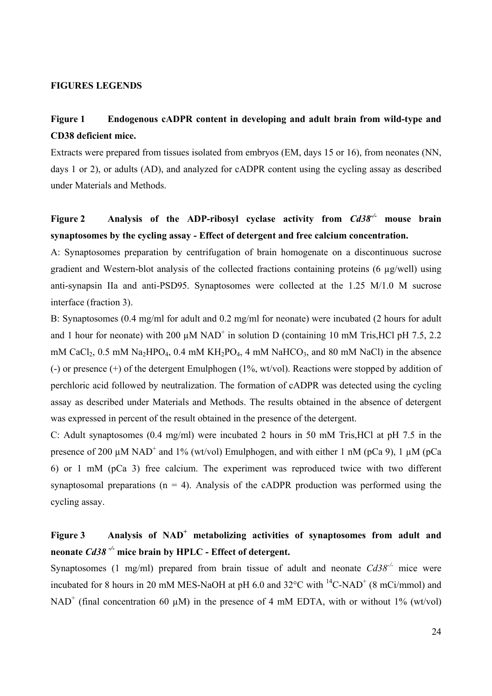#### **FIGURES LEGENDS**

### **Figure 1 Endogenous cADPR content in developing and adult brain from wild-type and CD38 deficient mice.**

Extracts were prepared from tissues isolated from embryos (EM, days 15 or 16), from neonates (NN, days 1 or 2), or adults (AD), and analyzed for cADPR content using the cycling assay as described under Materials and Methods.

### **Figure 2 Analysis of the ADP-ribosyl cyclase activity from** *Cd38-/-* **mouse brain synaptosomes by the cycling assay - Effect of detergent and free calcium concentration.**

A: Synaptosomes preparation by centrifugation of brain homogenate on a discontinuous sucrose gradient and Western-blot analysis of the collected fractions containing proteins (6 µg/well) using anti-synapsin IIa and anti-PSD95. Synaptosomes were collected at the 1.25 M/1.0 M sucrose interface (fraction 3).

B: Synaptosomes (0.4 mg/ml for adult and 0.2 mg/ml for neonate) were incubated (2 hours for adult and 1 hour for neonate) with 200  $\mu$ M NAD<sup>+</sup> in solution D (containing 10 mM Tris, HCl pH 7.5, 2.2 mM CaCl<sub>2</sub>, 0.5 mM Na<sub>2</sub>HPO<sub>4</sub>, 0.4 mM KH<sub>2</sub>PO<sub>4</sub>, 4 mM NaHCO<sub>3</sub>, and 80 mM NaCl) in the absence (-) or presence (+) of the detergent Emulphogen (1%, wt/vol). Reactions were stopped by addition of perchloric acid followed by neutralization. The formation of cADPR was detected using the cycling assay as described under Materials and Methods. The results obtained in the absence of detergent was expressed in percent of the result obtained in the presence of the detergent.

C: Adult synaptosomes (0.4 mg/ml) were incubated 2 hours in 50 mM Tris,HCl at pH 7.5 in the presence of 200  $\mu$ M NAD<sup>+</sup> and 1% (wt/vol) Emulphogen, and with either 1 nM (pCa 9), 1  $\mu$ M (pCa 6) or 1 mM (pCa 3) free calcium. The experiment was reproduced twice with two different synaptosomal preparations ( $n = 4$ ). Analysis of the cADPR production was performed using the cycling assay.

### Figure 3 **Analysis of NAD<sup>+</sup> metabolizing activities of synaptosomes from adult and neonate** *Cd38 -/-* **mice brain by HPLC - Effect of detergent.**

Synaptosomes (1 mg/ml) prepared from brain tissue of adult and neonate  $Cd38^{-/-}$  mice were incubated for 8 hours in 20 mM MES-NaOH at pH 6.0 and  $32^{\circ}$ C with  $^{14}$ C-NAD<sup>+</sup> (8 mCi/mmol) and NAD<sup>+</sup> (final concentration 60  $\mu$ M) in the presence of 4 mM EDTA, with or without 1% (wt/vol)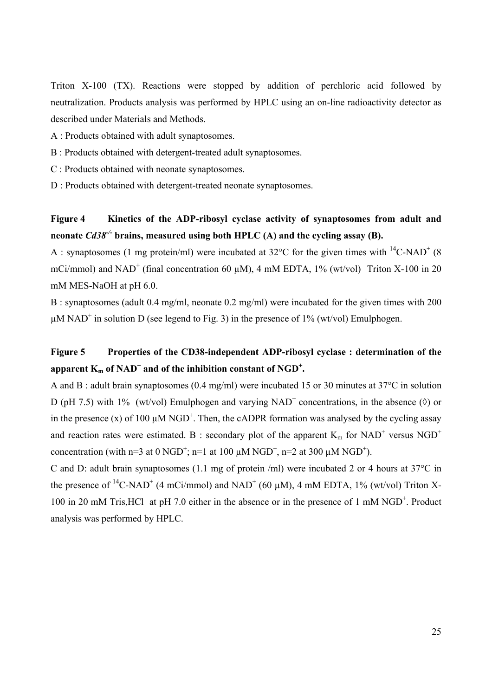Triton X-100 (TX). Reactions were stopped by addition of perchloric acid followed by neutralization. Products analysis was performed by HPLC using an on-line radioactivity detector as described under Materials and Methods.

- A : Products obtained with adult synaptosomes.
- B : Products obtained with detergent-treated adult synaptosomes.
- C : Products obtained with neonate synaptosomes.
- D : Products obtained with detergent-treated neonate synaptosomes.

### **Figure 4 Kinetics of the ADP-ribosyl cyclase activity of synaptosomes from adult and**  neonate  $Cd38<sup>-/-</sup>$  brains, measured using both HPLC (A) and the cycling assay (B).

A : synaptosomes (1 mg protein/ml) were incubated at 32 $^{\circ}$ C for the given times with <sup>14</sup>C-NAD<sup>+</sup> (8 mCi/mmol) and NAD<sup>+</sup> (final concentration 60  $\mu$ M), 4 mM EDTA, 1% (wt/vol) Triton X-100 in 20 mM MES-NaOH at pH 6.0.

B : synaptosomes (adult 0.4 mg/ml, neonate 0.2 mg/ml) were incubated for the given times with 200  $\mu$ M NAD<sup>+</sup> in solution D (see legend to Fig. 3) in the presence of 1% (wt/vol) Emulphogen.

### **Figure 5 Properties of the CD38-independent ADP-ribosyl cyclase : determination of the**   $a$ pparent  $K_m$  of  $NAD^+$  and of the inhibition constant of  $NGD^+$ .

A and B : adult brain synaptosomes (0.4 mg/ml) were incubated 15 or 30 minutes at 37°C in solution D (pH 7.5) with 1% (wt/vol) Emulphogen and varying  $NAD^+$  concentrations, in the absence ( $\Diamond$ ) or in the presence (x) of 100  $\mu$ M NGD<sup>+</sup>. Then, the cADPR formation was analysed by the cycling assay and reaction rates were estimated. B: secondary plot of the apparent  $K_m$  for NAD<sup>+</sup> versus NGD<sup>+</sup> concentration (with n=3 at 0 NGD<sup>+</sup>; n=1 at 100  $\mu$ M NGD<sup>+</sup>, n=2 at 300  $\mu$ M NGD<sup>+</sup>).

C and D: adult brain synaptosomes (1.1 mg of protein /ml) were incubated 2 or 4 hours at 37°C in the presence of <sup>14</sup>C-NAD<sup>+</sup> (4 mCi/mmol) and NAD<sup>+</sup> (60  $\mu$ M), 4 mM EDTA, 1% (wt/vol) Triton X-100 in 20 mM Tris, HCl at pH 7.0 either in the absence or in the presence of 1 mM NGD<sup>+</sup>. Product analysis was performed by HPLC.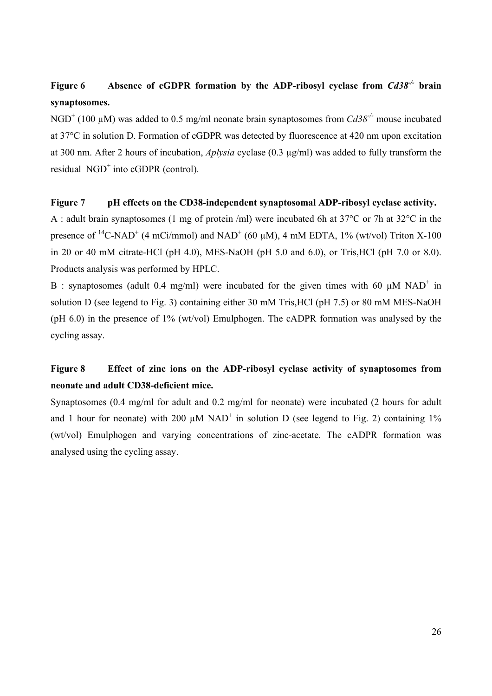## **Figure 6 Absence of cGDPR formation by the ADP-ribosyl cyclase from** *Cd38-/-* **brain synaptosomes.**

NGD<sup>+</sup> (100 μM) was added to 0.5 mg/ml neonate brain synaptosomes from *Cd38<sup>-/-</sup>* mouse incubated at 37°C in solution D. Formation of cGDPR was detected by fluorescence at 420 nm upon excitation at 300 nm. After 2 hours of incubation, *Aplysia* cyclase (0.3 µg/ml) was added to fully transform the residual  $\text{NGD}^+$  into cGDPR (control).

#### **Figure 7 pH effects on the CD38-independent synaptosomal ADP-ribosyl cyclase activity.**

A : adult brain synaptosomes (1 mg of protein /ml) were incubated 6h at 37°C or 7h at 32°C in the presence of <sup>14</sup>C-NAD<sup>+</sup> (4 mCi/mmol) and NAD<sup>+</sup> (60  $\mu$ M), 4 mM EDTA, 1% (wt/vol) Triton X-100 in 20 or 40 mM citrate-HCl (pH 4.0), MES-NaOH (pH 5.0 and 6.0), or Tris,HCl (pH 7.0 or 8.0). Products analysis was performed by HPLC.

B : synaptosomes (adult 0.4 mg/ml) were incubated for the given times with 60  $\mu$ M NAD<sup>+</sup> in solution D (see legend to Fig. 3) containing either 30 mM Tris,HCl (pH 7.5) or 80 mM MES-NaOH (pH 6.0) in the presence of 1% (wt/vol) Emulphogen. The cADPR formation was analysed by the cycling assay.

### **Figure 8 Effect of zinc ions on the ADP-ribosyl cyclase activity of synaptosomes from neonate and adult CD38-deficient mice.**

Synaptosomes (0.4 mg/ml for adult and 0.2 mg/ml for neonate) were incubated (2 hours for adult and 1 hour for neonate) with 200  $\mu$ M NAD<sup>+</sup> in solution D (see legend to Fig. 2) containing 1% (wt/vol) Emulphogen and varying concentrations of zinc-acetate. The cADPR formation was analysed using the cycling assay.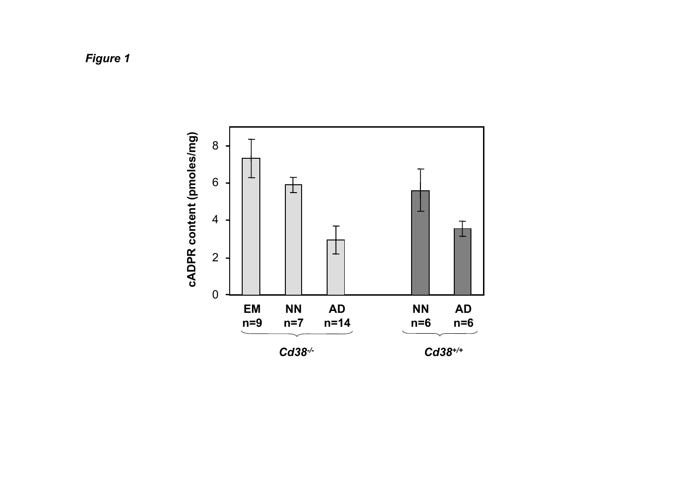# *Figure 1*

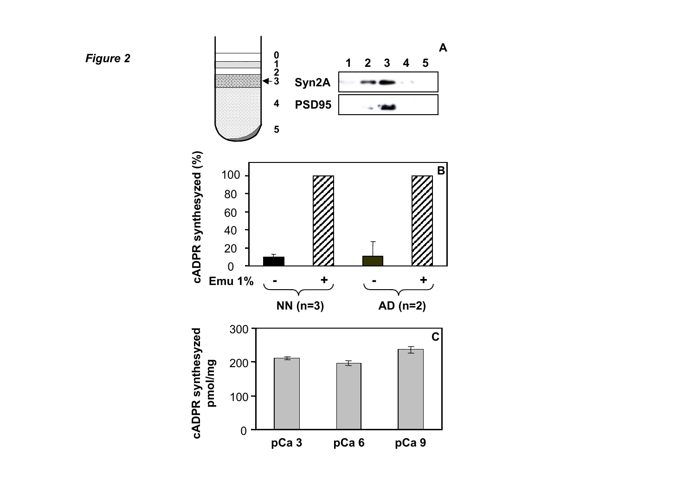

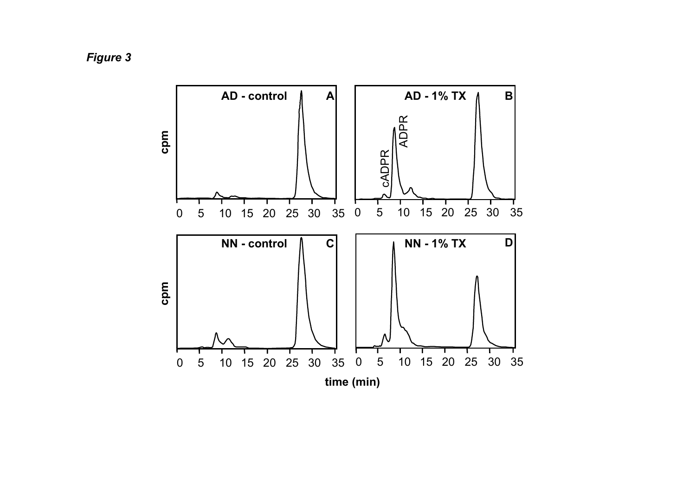*Figure 3*

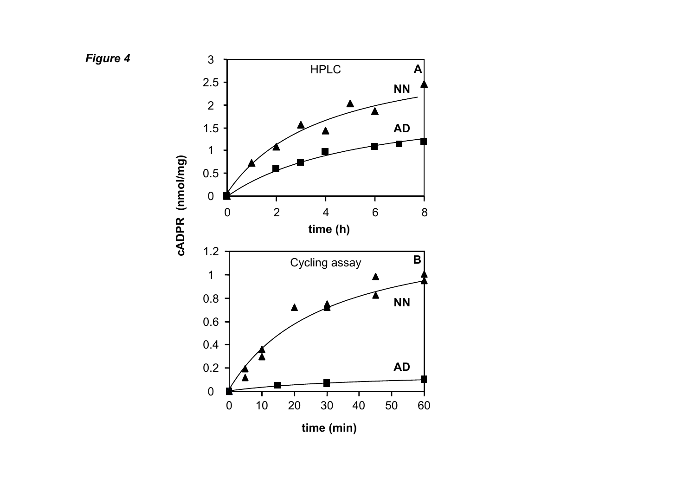

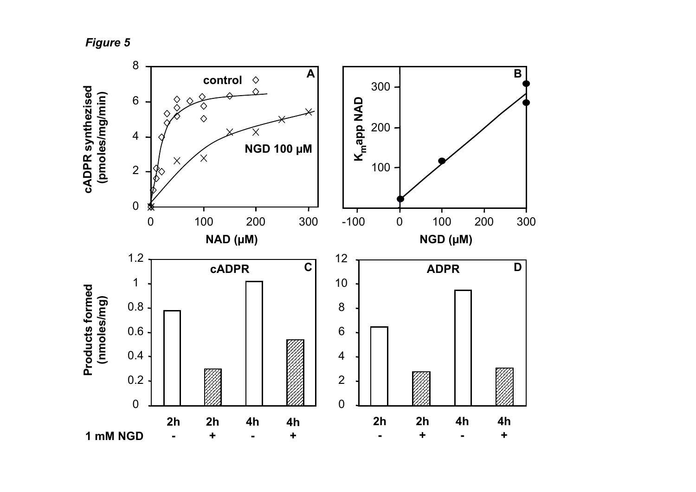*Figure 5*

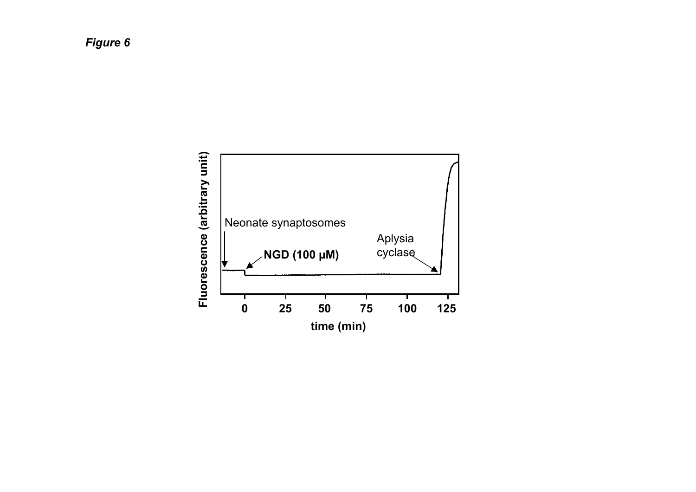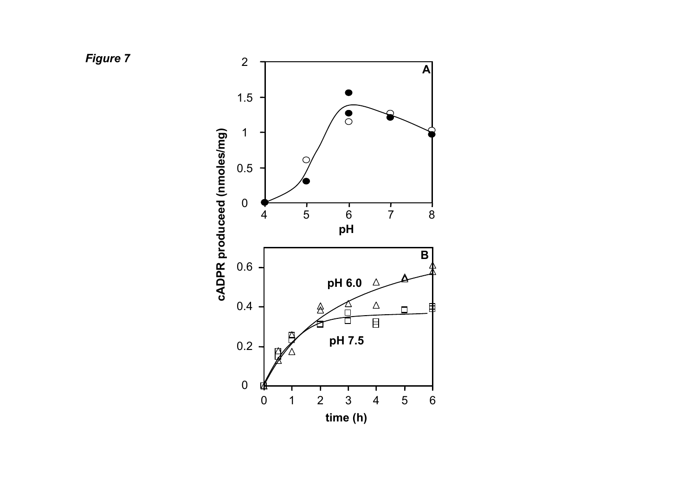*Figure 7*